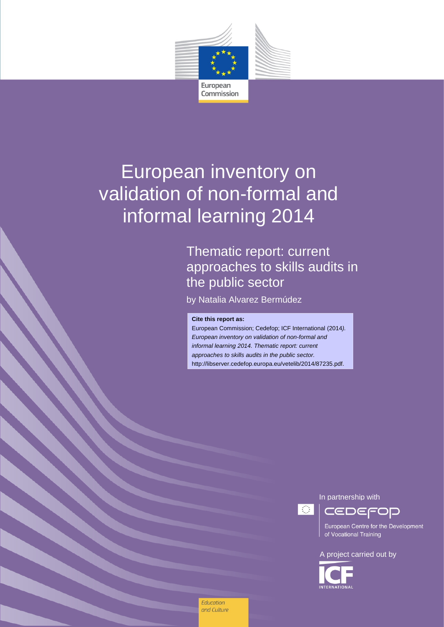

# European inventory on validation of non-formal and informal learning 2014

# Thematic report: current approaches to skills audits in the public sector

by Natalia Alvarez Bermúdez

#### **Cite this report as:**

and Culture

**Education** 

European Commission; Cedefop; ICF International (2014*). European inventory on validation of non-formal and informal learning 2014. Thematic report: current approaches to skills audits in the public sector.* http://libserver.cedefop.europa.eu/vetelib/2014/87235.pdf.

In partnership with

 $\mathcal{L}(\mathcal{A})$ 

European Centre for the Development of Vocational Training

A project carried out by

CEDEFOP

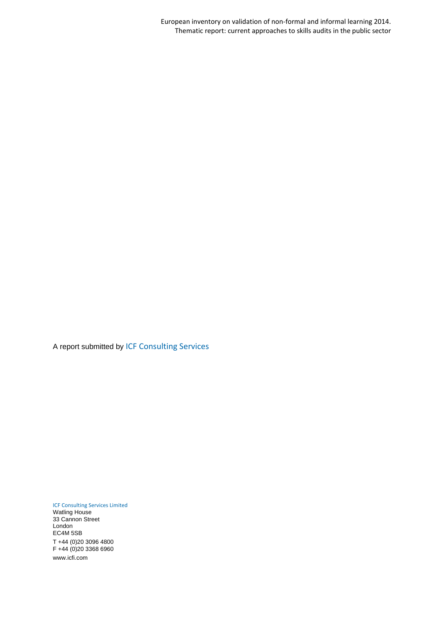European inventory on validation of non-formal and informal learning 2014. Thematic report: current approaches to skills audits in the public sector

A report submitted by ICF Consulting Services

ICF Consulting Services Limited Watling House 33 Cannon Street London EC4M 5SB

T +44 (0)20 3096 4800 F +44 (0)20 3368 6960 www.icfi.com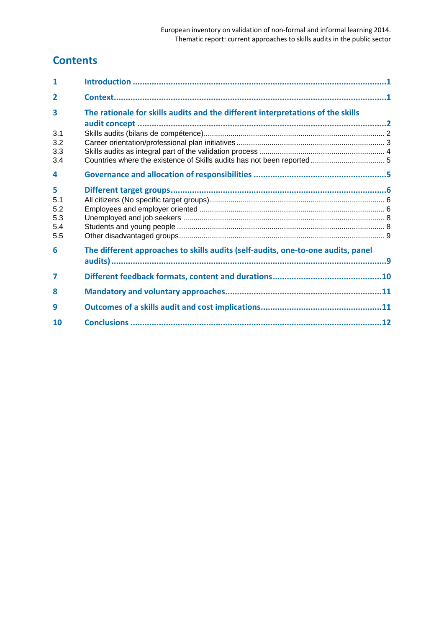# **Contents**

| 1                                    |                                                                                  |  |
|--------------------------------------|----------------------------------------------------------------------------------|--|
| $\overline{2}$                       |                                                                                  |  |
| 3                                    | The rationale for skills audits and the different interpretations of the skills  |  |
| 3.1<br>3.2<br>3.3<br>3.4             |                                                                                  |  |
| 4                                    |                                                                                  |  |
| 5<br>5.1<br>5.2<br>5.3<br>5.4<br>5.5 |                                                                                  |  |
| 6                                    | The different approaches to skills audits (self-audits, one-to-one audits, panel |  |
| 7                                    |                                                                                  |  |
| 8                                    |                                                                                  |  |
| 9                                    |                                                                                  |  |
| 10                                   |                                                                                  |  |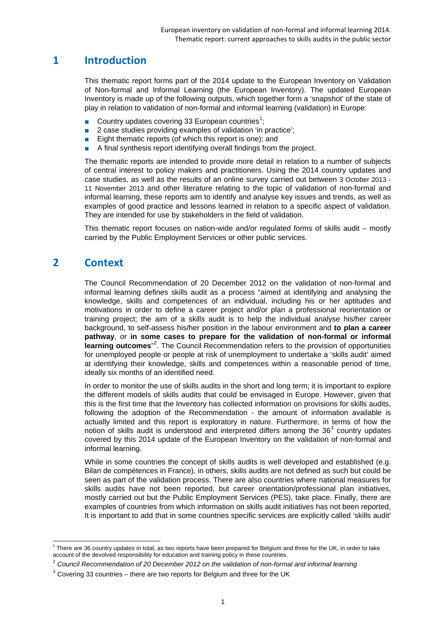# <span id="page-3-0"></span>**1 Introduction**

This thematic report forms part of the 2014 update to the European Inventory on Validation of Non-formal and Informal Learning (the European Inventory). The updated European Inventory is made up of the following outputs, which together form a 'snapshot' of the state of play in relation to validation of non-formal and informal learning (validation) in Europe:

- **■** Country updates covering 33 European countries<sup>[1](#page-3-2)</sup>;
- 2 case studies providing examples of validation 'in practice';
- Eight thematic reports (of which this report is one); and
- A final synthesis report identifying overall findings from the project.

The thematic reports are intended to provide more detail in relation to a number of subjects of central interest to policy makers and practitioners. Using the 2014 country updates and case studies, as well as the results of an online survey carried out between 3 October 2013 - 11 November 2013 and other literature relating to the topic of validation of non-formal and informal learning, these reports aim to identify and analyse key issues and trends, as well as examples of good practice and lessons learned in relation to a specific aspect of validation. They are intended for use by stakeholders in the field of validation.

This thematic report focuses on nation-wide and/or regulated forms of skills audit – mostly carried by the Public Employment Services or other public services.

# <span id="page-3-1"></span>**2 Context**

The Council Recommendation of 20 December 2012 on the validation of non-formal and informal learning defines skills audit as a process "aimed at identifying and analysing the knowledge, skills and competences of an individual, including his or her aptitudes and motivations in order to define a career project and/or plan a professional reorientation or training project; the aim of a skills audit is to help the individual analyse his/her career background, to self-assess his/her position in the labour environment and **to plan a career pathway**, or **in some cases to prepare for the validation of non-formal or informal**  learning outcomes<sup>"[2](#page-3-3)</sup>. The Council Recommendation refers to the provision of opportunities for unemployed people or people at risk of unemployment to undertake a 'skills audit' aimed at identifying their knowledge, skills and competences within a reasonable period of time, ideally six months of an identified need.

In order to monitor the use of skills audits in the short and long term; it is important to explore the different models of skills audits that could be envisaged in Europe. However, given that this is the first time that the Inventory has collected information on provisions for skills audits, following the adoption of the Recommendation - the amount of information available is actually limited and this report is exploratory in nature. Furthermore, in terms of how the notion of skills audit is understood and interpreted differs among the  $36<sup>3</sup>$  $36<sup>3</sup>$  country updates covered by this 2014 update of the European Inventory on the validation of non-formal and informal learning.

While in some countries the concept of skills audits is well developed and established (e.g. Bilan de compétences in France), in others, skills audits are not defined as such but could be seen as part of the validation process. There are also countries where national measures for skills audits have not been reported, but career orientation/professional plan initiatives, mostly carried out but the Public Employment Services (PES), take place. Finally, there are examples of countries from which information on skills audit initiatives has not been reported, It is important to add that in some countries specific services are explicitly called 'skills audit'

<span id="page-3-2"></span> $1$  There are 36 country updates in total, as two reports have been prepared for Belgium and three for the UK, in order to take account of the devolved responsibility for education and training policy in these countries.

<span id="page-3-3"></span><sup>2</sup> *Council Recommendation of 20 December 2012 on the validation of non-formal and informal learning*

<span id="page-3-4"></span> $3$  Covering 33 countries – there are two reports for Belgium and three for the UK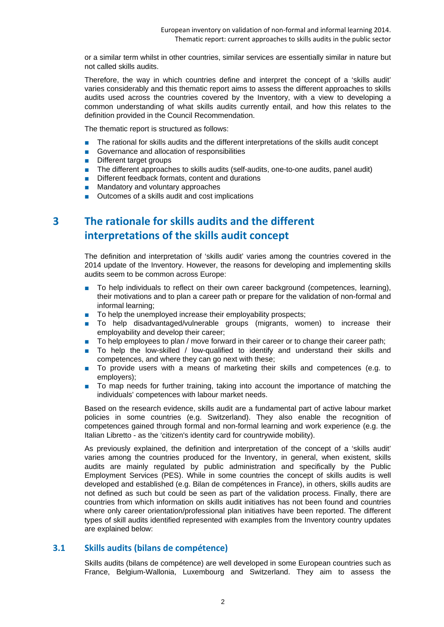or a similar term whilst in other countries, similar services are essentially similar in nature but not called skills audits.

Therefore, the way in which countries define and interpret the concept of a 'skills audit' varies considerably and this thematic report aims to assess the different approaches to skills audits used across the countries covered by the Inventory, with a view to developing a common understanding of what skills audits currently entail, and how this relates to the definition provided in the Council Recommendation.

The thematic report is structured as follows:

- The rational for skills audits and the different interpretations of the skills audit concept
- Governance and allocation of responsibilities
- Different target groups
- The different approaches to skills audits (self-audits, one-to-one audits, panel audit)
- Different feedback formats, content and durations<br>■ Mandatory and voluntary approaches
- Mandatory and voluntary approaches
- Outcomes of a skills audit and cost implications

# <span id="page-4-0"></span>**3 The rationale for skills audits and the different interpretations of the skills audit concept**

The definition and interpretation of 'skills audit' varies among the countries covered in the 2014 update of the Inventory. However, the reasons for developing and implementing skills audits seem to be common across Europe:

- To help individuals to reflect on their own career background (competences, learning), their motivations and to plan a career path or prepare for the validation of non-formal and informal learning;
- To help the unemployed increase their employability prospects;
- To help disadvantaged/vulnerable groups (migrants, women) to increase their employability and develop their career;
- To help employees to plan / move forward in their career or to change their career path;
- To help the low-skilled / low-qualified to identify and understand their skills and competences, and where they can go next with these;
- To provide users with a means of marketing their skills and competences (e.g. to employers);
- To map needs for further training, taking into account the importance of matching the individuals' competences with labour market needs.

Based on the research evidence, skills audit are a fundamental part of active labour market policies in some countries (e.g. Switzerland). They also enable the recognition of competences gained through formal and non-formal learning and work experience (e.g. the Italian Libretto - as the 'citizen's identity card for countrywide mobility).

As previously explained, the definition and interpretation of the concept of a 'skills audit' varies among the countries produced for the Inventory, in general, when existent, skills audits are mainly regulated by public administration and specifically by the Public Employment Services (PES). While in some countries the concept of skills audits is well developed and established (e.g. Bilan de compétences in France), in others, skills audits are not defined as such but could be seen as part of the validation process. Finally, there are countries from which information on skills audit initiatives has not been found and countries where only career orientation/professional plan initiatives have been reported. The different types of skill audits identified represented with examples from the Inventory country updates are explained below:

#### <span id="page-4-1"></span>**3.1 Skills audits (bilans de compétence)**

Skills audits (bilans de compétence) are well developed in some European countries such as France, Belgium-Wallonia, Luxembourg and Switzerland. They aim to assess the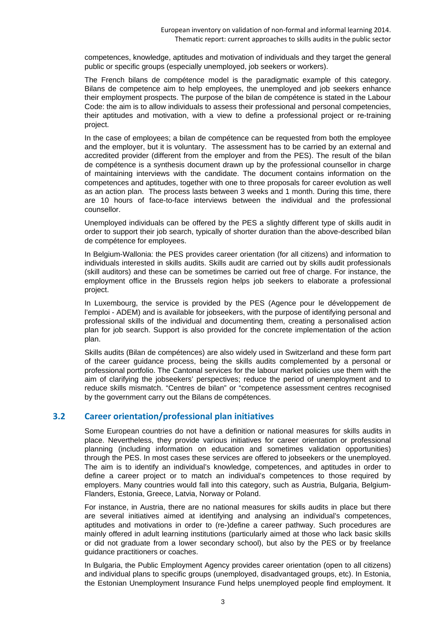competences, knowledge, aptitudes and motivation of individuals and they target the general public or specific groups (especially unemployed, job seekers or workers).

The French bilans de compétence model is the paradigmatic example of this category. Bilans de competence aim to help employees, the unemployed and job seekers enhance their employment prospects. The purpose of the bilan de compétence is stated in the Labour Code: the aim is to allow individuals to assess their professional and personal competencies, their aptitudes and motivation, with a view to define a professional project or re-training project.

In the case of employees; a bilan de compétence can be requested from both the employee and the employer, but it is voluntary. The assessment has to be carried by an external and accredited provider (different from the employer and from the PES). The result of the bilan de compétence is a synthesis document drawn up by the professional counsellor in charge of maintaining interviews with the candidate. The document contains information on the competences and aptitudes, together with one to three proposals for career evolution as well as an action plan. The process lasts between 3 weeks and 1 month. During this time, there are 10 hours of face-to-face interviews between the individual and the professional counsellor.

Unemployed individuals can be offered by the PES a slightly different type of skills audit in order to support their job search, typically of shorter duration than the above-described bilan de compétence for employees.

In Belgium-Wallonia: the PES provides career orientation (for all citizens) and information to individuals interested in skills audits. Skills audit are carried out by skills audit professionals (skill auditors) and these can be sometimes be carried out free of charge. For instance, the employment office in the Brussels region helps job seekers to elaborate a professional project.

In Luxembourg, the service is provided by the PES (Agence pour le développement de l'emploi - ADEM) and is available for jobseekers, with the purpose of identifying personal and professional skills of the individual and documenting them, creating a personalised action plan for job search. Support is also provided for the concrete implementation of the action plan.

Skills audits (Bilan de compétences) are also widely used in Switzerland and these form part of the career guidance process, being the skills audits complemented by a personal or professional portfolio. The Cantonal services for the labour market policies use them with the aim of clarifying the jobseekers' perspectives; reduce the period of unemployment and to reduce skills mismatch. "Centres de bilan" or "competence assessment centres recognised by the government carry out the Bilans de compétences.

#### <span id="page-5-0"></span>**3.2 Career orientation/professional plan initiatives**

Some European countries do not have a definition or national measures for skills audits in place. Nevertheless, they provide various initiatives for career orientation or professional planning (including information on education and sometimes validation opportunities) through the PES. In most cases these services are offered to jobseekers or the unemployed. The aim is to identify an individual's knowledge, competences, and aptitudes in order to define a career project or to match an individual's competences to those required by employers. Many countries would fall into this category, such as Austria, Bulgaria, Belgium-Flanders, Estonia, Greece, Latvia, Norway or Poland.

For instance, in Austria, there are no national measures for skills audits in place but there are several initiatives aimed at identifying and analysing an individual's competences, aptitudes and motivations in order to (re-)define a career pathway. Such procedures are mainly offered in adult learning institutions (particularly aimed at those who lack basic skills or did not graduate from a lower secondary school), but also by the PES or by freelance guidance practitioners or coaches.

In Bulgaria, the Public Employment Agency provides career orientation (open to all citizens) and individual plans to specific groups (unemployed, disadvantaged groups, etc). In Estonia, the Estonian Unemployment Insurance Fund helps unemployed people find employment. It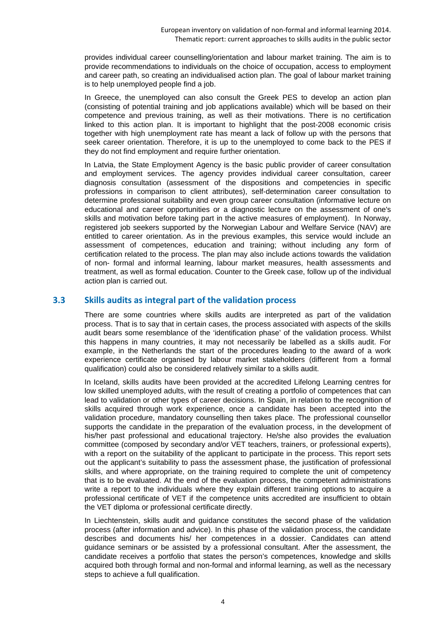provides individual career counselling/orientation and labour market training. The aim is to provide recommendations to individuals on the choice of occupation, access to employment and career path, so creating an individualised action plan. The goal of labour market training is to help unemployed people find a job.

In Greece, the unemployed can also consult the Greek PES to develop an action plan (consisting of potential training and job applications available) which will be based on their competence and previous training, as well as their motivations. There is no certification linked to this action plan. It is important to highlight that the post-2008 economic crisis together with high unemployment rate has meant a lack of follow up with the persons that seek career orientation. Therefore, it is up to the unemployed to come back to the PES if they do not find employment and require further orientation.

In Latvia, the State Employment Agency is the basic public provider of career consultation and employment services. The agency provides individual career consultation, career diagnosis consultation (assessment of the dispositions and competencies in specific professions in comparison to client attributes), self-determination career consultation to determine professional suitability and even group career consultation (informative lecture on educational and career opportunities or a diagnostic lecture on the assessment of one's skills and motivation before taking part in the active measures of employment). In Norway, registered job seekers supported by the Norwegian Labour and Welfare Service (NAV) are entitled to career orientation. As in the previous examples, this service would include an assessment of competences, education and training; without including any form of certification related to the process. The plan may also include actions towards the validation of non- formal and informal learning, labour market measures, health assessments and treatment, as well as formal education. Counter to the Greek case, follow up of the individual action plan is carried out.

#### <span id="page-6-0"></span>**3.3 Skills audits as integral part of the validation process**

There are some countries where skills audits are interpreted as part of the validation process. That is to say that in certain cases, the process associated with aspects of the skills audit bears some resemblance of the 'identification phase' of the validation process. Whilst this happens in many countries, it may not necessarily be labelled as a skills audit. For example, in the Netherlands the start of the procedures leading to the award of a work experience certificate organised by labour market stakeholders (different from a formal qualification) could also be considered relatively similar to a skills audit.

In Iceland, skills audits have been provided at the accredited Lifelong Learning centres for low skilled unemployed adults, with the result of creating a portfolio of competences that can lead to validation or other types of career decisions. In Spain, in relation to the recognition of skills acquired through work experience, once a candidate has been accepted into the validation procedure, mandatory counselling then takes place. The professional counsellor supports the candidate in the preparation of the evaluation process, in the development of his/her past professional and educational trajectory. He/she also provides the evaluation committee (composed by secondary and/or VET teachers, trainers, or professional experts), with a report on the suitability of the applicant to participate in the process. This report sets out the applicant's suitability to pass the assessment phase, the justification of professional skills, and where appropriate, on the training required to complete the unit of competency that is to be evaluated. At the end of the evaluation process, the competent administrations write a report to the individuals where they explain different training options to acquire a professional certificate of VET if the competence units accredited are insufficient to obtain the VET diploma or professional certificate directly.

In Liechtenstein, skills audit and guidance constitutes the second phase of the validation process (after information and advice). In this phase of the validation process, the candidate describes and documents his/ her competences in a dossier. Candidates can attend guidance seminars or be assisted by a professional consultant. After the assessment, the candidate receives a portfolio that states the person's competences, knowledge and skills acquired both through formal and non-formal and informal learning, as well as the necessary steps to achieve a full qualification.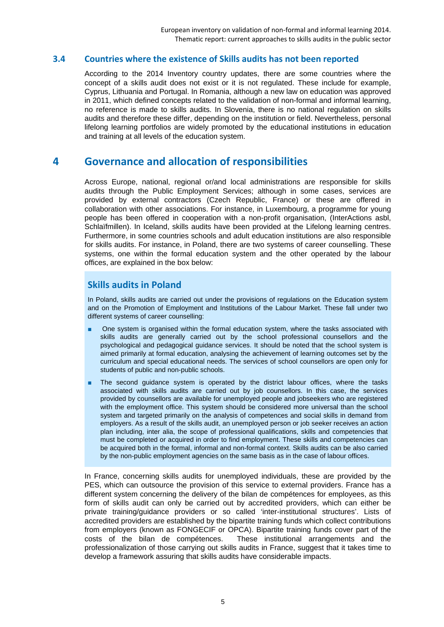#### <span id="page-7-0"></span>**3.4 Countries where the existence of Skills audits has not been reported**

According to the 2014 Inventory country updates, there are some countries where the concept of a skills audit does not exist or it is not regulated. These include for example, Cyprus, Lithuania and Portugal. In Romania, although a new law on education was approved in 2011, which defined concepts related to the validation of non-formal and informal learning, no reference is made to skills audits. In Slovenia, there is no national regulation on skills audits and therefore these differ, depending on the institution or field. Nevertheless, personal lifelong learning portfolios are widely promoted by the educational institutions in education and training at all levels of the education system.

## <span id="page-7-1"></span>**4 Governance and allocation of responsibilities**

Across Europe, national, regional or/and local administrations are responsible for skills audits through the Public Employment Services; although in some cases, services are provided by external contractors (Czech Republic, France) or these are offered in collaboration with other associations. For instance, in Luxembourg, a programme for young people has been offered in cooperation with a non-profit organisation, (InterActions asbl, Schlaïfmillen). In Iceland, skills audits have been provided at the Lifelong learning centres. Furthermore, in some countries schools and adult education institutions are also responsible for skills audits. For instance, in Poland, there are two systems of career counselling. These systems, one within the formal education system and the other operated by the labour offices, are explained in the box below:

## **Skills audits in Poland**

In Poland, skills audits are carried out under the provisions of regulations on the Education system and on the Promotion of Employment and Institutions of the Labour Market. These fall under two different systems of career counselling:

- One system is organised within the formal education system, where the tasks associated with skills audits are generally carried out by the school professional counsellors and the psychological and pedagogical guidance services. It should be noted that the school system is aimed primarily at formal education, analysing the achievement of learning outcomes set by the curriculum and special educational needs. The services of school counsellors are open only for students of public and non-public schools.
- The second quidance system is operated by the district labour offices, where the tasks associated with skills audits are carried out by job counsellors. In this case, the services provided by counsellors are available for unemployed people and jobseekers who are registered with the employment office. This system should be considered more universal than the school system and targeted primarily on the analysis of competences and social skills in demand from employers. As a result of the skills audit, an unemployed person or job seeker receives an action plan including, inter alia, the scope of professional qualifications, skills and competencies that must be completed or acquired in order to find employment. These skills and competencies can be acquired both in the formal, informal and non-formal context. Skills audits can be also carried by the non-public employment agencies on the same basis as in the case of labour offices.

In France, concerning skills audits for unemployed individuals, these are provided by the PES, which can outsource the provision of this service to external providers. France has a different system concerning the delivery of the bilan de compétences for employees, as this form of skills audit can only be carried out by accredited providers, which can either be private training/guidance providers or so called 'inter-institutional structures'. Lists of accredited providers are established by the bipartite training funds which collect contributions from employers (known as FONGECIF or OPCA). Bipartite training funds cover part of the costs of the bilan de compétences. These institutional arrangements and the professionalization of those carrying out skills audits in France, suggest that it takes time to develop a framework assuring that skills audits have considerable impacts.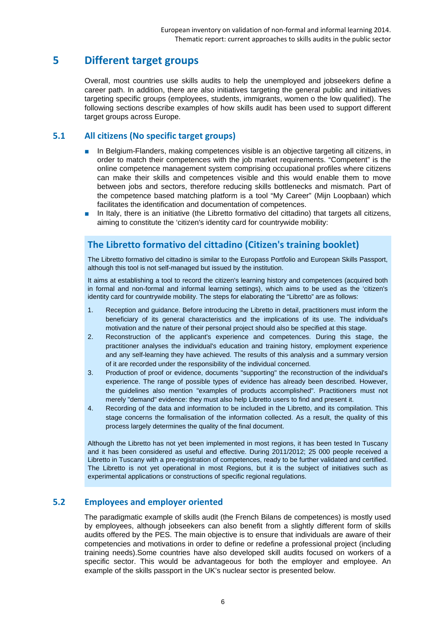# <span id="page-8-0"></span>**5 Different target groups**

Overall, most countries use skills audits to help the unemployed and jobseekers define a career path. In addition, there are also initiatives targeting the general public and initiatives targeting specific groups (employees, students, immigrants, women o the low qualified). The following sections describe examples of how skills audit has been used to support different target groups across Europe.

#### <span id="page-8-1"></span>**5.1 All citizens (No specific target groups)**

- In Belgium-Flanders, making competences visible is an objective targeting all citizens, in order to match their competences with the job market requirements. "Competent" is the online competence management system comprising occupational profiles where citizens can make their skills and competences visible and this would enable them to move between jobs and sectors, therefore reducing skills bottlenecks and mismatch. Part of the competence based matching platform is a tool "My Career" (Mijn Loopbaan) which facilitates the identification and documentation of competences.
- In Italy, there is an initiative (the Libretto formativo del cittadino) that targets all citizens, aiming to constitute the 'citizen's identity card for countrywide mobility:

## **The Libretto formativo del cittadino (Citizen's training booklet)**

The Libretto formativo del cittadino is similar to the Europass Portfolio and European Skills Passport, although this tool is not self-managed but issued by the institution.

It aims at establishing a tool to record the citizen's learning history and competences (acquired both in formal and non-formal and informal learning settings), which aims to be used as the 'citizen's identity card for countrywide mobility. The steps for elaborating the "Libretto" are as follows:

- 1. Reception and guidance. Before introducing the Libretto in detail, practitioners must inform the beneficiary of its general characteristics and the implications of its use. The individual's motivation and the nature of their personal project should also be specified at this stage.
- 2. Reconstruction of the applicant's experience and competences. During this stage, the practitioner analyses the individual's education and training history, employment experience and any self-learning they have achieved. The results of this analysis and a summary version of it are recorded under the responsibility of the individual concerned.
- 3. Production of proof or evidence, documents "supporting" the reconstruction of the individual's experience. The range of possible types of evidence has already been described. However, the guidelines also mention "examples of products accomplished". Practitioners must not merely "demand" evidence: they must also help Libretto users to find and present it.
- 4. Recording of the data and information to be included in the Libretto, and its compilation. This stage concerns the formalisation of the information collected. As a result, the quality of this process largely determines the quality of the final document.

Although the Libretto has not yet been implemented in most regions, it has been tested In Tuscany and it has been considered as useful and effective. During 2011/2012; 25 000 people received a Libretto in Tuscany with a pre-registration of competences, ready to be further validated and certified. The Libretto is not yet operational in most Regions, but it is the subject of initiatives such as experimental applications or constructions of specific regional regulations.

## <span id="page-8-2"></span>**5.2 Employees and employer oriented**

The paradigmatic example of skills audit (the French Bilans de competences) is mostly used by employees, although jobseekers can also benefit from a slightly different form of skills audits offered by the PES. The main objective is to ensure that individuals are aware of their competencies and motivations in order to define or redefine a professional project (including training needs).Some countries have also developed skill audits focused on workers of a specific sector. This would be advantageous for both the employer and employee. An example of the skills passport in the UK's nuclear sector is presented below.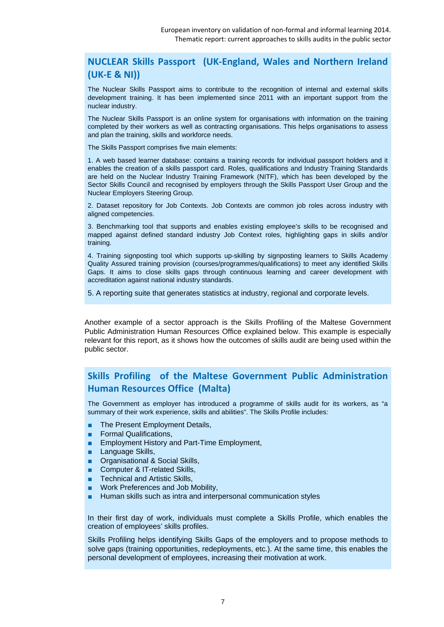## **NUCLEAR Skills Passport (UK-England, Wales and Northern Ireland (UK-E & NI))**

The Nuclear Skills Passport aims to contribute to the recognition of internal and external skills development training. It has been implemented since 2011 with an important support from the nuclear industry.

The Nuclear Skills Passport is an online system for organisations with information on the training completed by their workers as well as contracting organisations. This helps organisations to assess and plan the training, skills and workforce needs.

The Skills Passport comprises five main elements:

1. A web based learner database: contains a training records for individual passport holders and it enables the creation of a skills passport card. Roles, qualifications and Industry Training Standards are held on the Nuclear Industry Training Framework (NITF), which has been developed by the Sector Skills Council and recognised by employers through the Skills Passport User Group and the Nuclear Employers Steering Group.

2. Dataset repository for Job Contexts. Job Contexts are common job roles across industry with aligned competencies.

3. Benchmarking tool that supports and enables existing employee's skills to be recognised and mapped against defined standard industry Job Context roles, highlighting gaps in skills and/or training.

4. Training signposting tool which supports up-skilling by signposting learners to Skills Academy Quality Assured training provision (courses/programmes/qualifications) to meet any identified Skills Gaps. It aims to close skills gaps through continuous learning and career development with accreditation against national industry standards.

5. A reporting suite that generates statistics at industry, regional and corporate levels.

Another example of a sector approach is the Skills Profiling of the Maltese Government Public Administration Human Resources Office explained below. This example is especially relevant for this report, as it shows how the outcomes of skills audit are being used within the public sector.

## **Skills Profiling of the Maltese Government Public Administration Human Resources Office (Malta)**

The Government as employer has introduced a programme of skills audit for its workers, as "a summary of their work experience, skills and abilities". The Skills Profile includes:

- The Present Employment Details,
- Formal Qualifications,
- Employment History and Part-Time Employment,
- Language Skills,
- Organisational & Social Skills,
- Computer & IT-related Skills,
- Technical and Artistic Skills,
- Work Preferences and Job Mobility,
- Human skills such as intra and interpersonal communication styles

In their first day of work, individuals must complete a Skills Profile, which enables the creation of employees' skills profiles.

Skills Profiling helps identifying Skills Gaps of the employers and to propose methods to solve gaps (training opportunities, redeployments, etc.). At the same time, this enables the personal development of employees, increasing their motivation at work.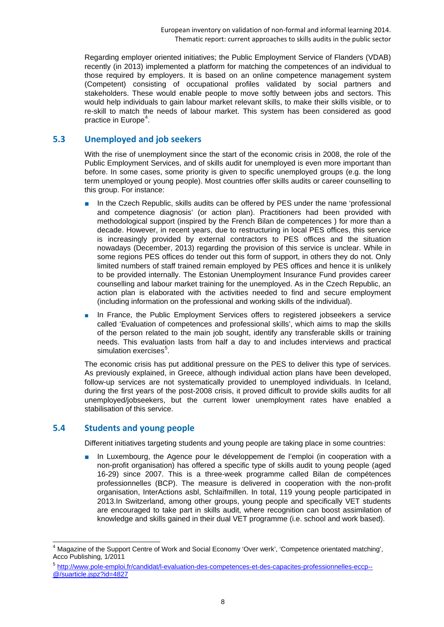Regarding employer oriented initiatives; the Public Employment Service of Flanders (VDAB) recently (in 2013) implemented a platform for matching the competences of an individual to those required by employers. It is based on an online competence management system (Competent) consisting of occupational profiles validated by social partners and stakeholders. These would enable people to move softly between jobs and sectors. This would help individuals to gain labour market relevant skills, to make their skills visible, or to re-skill to match the needs of labour market. This system has been considered as good practice in Europe<sup>[4](#page-10-2)</sup>.

#### <span id="page-10-0"></span>**5.3 Unemployed and job seekers**

With the rise of unemployment since the start of the economic crisis in 2008, the role of the Public Employment Services, and of skills audit for unemployed is even more important than before. In some cases, some priority is given to specific unemployed groups (e.g. the long term unemployed or young people). Most countries offer skills audits or career counselling to this group. For instance:

- In the Czech Republic, skills audits can be offered by PES under the name 'professional and competence diagnosis' (or action plan). Practitioners had been provided with methodological support (inspired by the French Bilan de competences ) for more than a decade. However, in recent years, due to restructuring in local PES offices, this service is increasingly provided by external contractors to PES offices and the situation nowadays (December, 2013) regarding the provision of this service is unclear. While in some regions PES offices do tender out this form of support, in others they do not. Only limited numbers of staff trained remain employed by PES offices and hence it is unlikely to be provided internally. The Estonian Unemployment Insurance Fund provides career counselling and labour market training for the unemployed. As in the Czech Republic, an action plan is elaborated with the activities needed to find and secure employment (including information on the professional and working skills of the individual).
- In France, the Public Employment Services offers to registered jobseekers a service called 'Evaluation of competences and professional skills', which aims to map the skills of the person related to the main job sought, identify any transferable skills or training needs. This evaluation lasts from half a day to and includes interviews and practical simulation exercises<sup>[5](#page-10-3)</sup>.

The economic crisis has put additional pressure on the PES to deliver this type of services. As previously explained, in Greece, although individual action plans have been developed, follow-up services are not systematically provided to unemployed individuals. In Iceland, during the first years of the post-2008 crisis, it proved difficult to provide skills audits for all unemployed/jobseekers, but the current lower unemployment rates have enabled a stabilisation of this service.

#### <span id="page-10-1"></span>**5.4 Students and young people**

Different initiatives targeting students and young people are taking place in some countries:

■ In Luxembourg, the Agence pour le développement de l'emploi (in cooperation with a non-profit organisation) has offered a specific type of skills audit to young people (aged 16-29) since 2007. This is a three-week programme called Bilan de compétences professionnelles (BCP). The measure is delivered in cooperation with the non-profit organisation, InterActions asbl, Schlaïfmillen. In total, 119 young people participated in 2013.In Switzerland, among other groups, young people and specifically VET students are encouraged to take part in skills audit, where recognition can boost assimilation of knowledge and skills gained in their dual VET programme (i.e. school and work based).

<span id="page-10-2"></span><sup>&</sup>lt;sup>4</sup> Magazine of the Support Centre of Work and Social Economy 'Over werk', 'Competence orientated matching', Acco Publishing, 1/2011

<span id="page-10-3"></span><sup>5</sup> [http://www.pole-emploi.fr/candidat/l-evaluation-des-competences-et-des-capacites-professionnelles-eccp--](http://www.pole-emploi.fr/candidat/l-evaluation-des-competences-et-des-capacites-professionnelles-eccp--@/suarticle.jspz?id=4827) [@/suarticle.jspz?id=4827](http://www.pole-emploi.fr/candidat/l-evaluation-des-competences-et-des-capacites-professionnelles-eccp--@/suarticle.jspz?id=4827)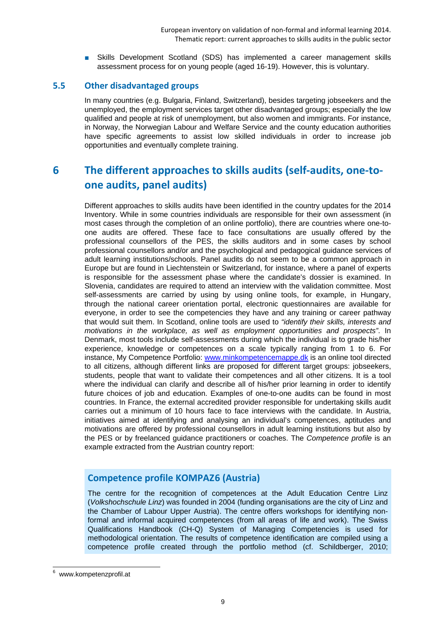■ Skills Development Scotland (SDS) has implemented a career management skills assessment process for on young people (aged 16-19). However, this is voluntary.

#### <span id="page-11-0"></span>**5.5 Other disadvantaged groups**

In many countries (e.g. Bulgaria, Finland, Switzerland), besides targeting jobseekers and the unemployed, the employment services target other disadvantaged groups; especially the low qualified and people at risk of unemployment, but also women and immigrants. For instance, in Norway, the Norwegian Labour and Welfare Service and the county education authorities have specific agreements to assist low skilled individuals in order to increase job opportunities and eventually complete training.

# <span id="page-11-1"></span>**6 The different approaches to skills audits (self-audits, one-toone audits, panel audits)**

Different approaches to skills audits have been identified in the country updates for the 2014 Inventory. While in some countries individuals are responsible for their own assessment (in most cases through the completion of an online portfolio), there are countries where one-toone audits are offered. These face to face consultations are usually offered by the professional counsellors of the PES, the skills auditors and in some cases by school professional counsellors and/or and the psychological and pedagogical guidance services of adult learning institutions/schools. Panel audits do not seem to be a common approach in Europe but are found in Liechtenstein or Switzerland, for instance, where a panel of experts is responsible for the assessment phase where the candidate's dossier is examined. In Slovenia, candidates are required to attend an interview with the validation committee. Most self-assessments are carried by using by using online tools, for example, in Hungary, through the national career orientation portal, electronic questionnaires are available for everyone, in order to see the competencies they have and any training or career pathway that would suit them. In Scotland, online tools are used to *"identify their skills, interests and motivations in the workplace, as well as employment opportunities and prospects"*. In Denmark, most tools include self-assessments during which the individual is to grade his/her experience, knowledge or competences on a scale typically ranging from 1 to 6. For instance, My Competence Portfolio: [www.minkompetencemappe.dk](http://www.minkompetencemappe.dk/) is an online tool directed to all citizens, although different links are proposed for different target groups: jobseekers, students, people that want to validate their competences and all other citizens. It is a tool where the individual can clarify and describe all of his/her prior learning in order to identify future choices of job and education. Examples of one-to-one audits can be found in most countries. In France, the external accredited provider responsible for undertaking skills audit carries out a minimum of 10 hours face to face interviews with the candidate. In Austria, initiatives aimed at identifying and analysing an individual's competences, aptitudes and motivations are offered by professional counsellors in adult learning institutions but also by the PES or by freelanced guidance practitioners or coaches. The *Competence profile* is an example extracted from the Austrian country report:

## **Competence profile KOMPAZ[6](#page-11-2) (Austria)**

The centre for the recognition of competences at the Adult Education Centre Linz (*Volkshochschule Linz*) was founded in 2004 (funding organisations are the city of Linz and the Chamber of Labour Upper Austria). The centre offers workshops for identifying nonformal and informal acquired competences (from all areas of life and work). The Swiss Qualifications Handbook (CH-Q) System of Managing Competencies is used for methodological orientation. The results of competence identification are compiled using a competence profile created through the portfolio method (cf. Schildberger, 2010;

<span id="page-11-2"></span>www.kompetenzprofil.at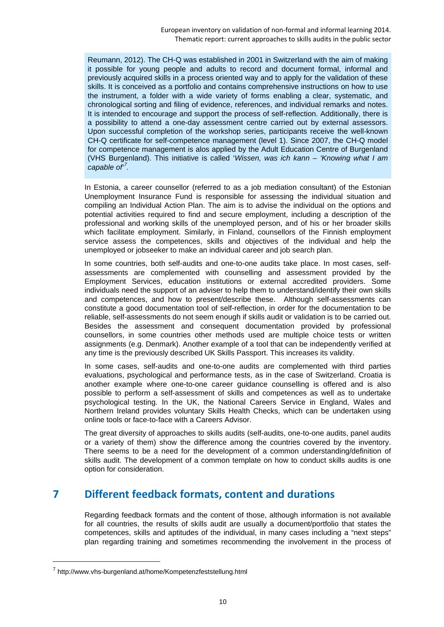Reumann, 2012). The CH-Q was established in 2001 in Switzerland with the aim of making it possible for young people and adults to record and document formal, informal and previously acquired skills in a process oriented way and to apply for the validation of these skills. It is conceived as a portfolio and contains comprehensive instructions on how to use the instrument, a folder with a wide variety of forms enabling a clear, systematic, and chronological sorting and filing of evidence, references, and individual remarks and notes. It is intended to encourage and support the process of self-reflection. Additionally, there is a possibility to attend a one-day assessment centre carried out by external assessors. Upon successful completion of the workshop series, participants receive the well-known CH-Q certificate for self-competence management (level 1). Since 2007, the CH-Q model for competence management is alos applied by the Adult Education Centre of Burgenland (VHS Burgenland). This initiative is called '*Wissen, was ich kann – 'Knowing what I am capable of' [7](#page-12-1) .*

In Estonia, a career counsellor (referred to as a job mediation consultant) of the Estonian Unemployment Insurance Fund is responsible for assessing the individual situation and compiling an Individual Action Plan. The aim is to advise the individual on the options and potential activities required to find and secure employment, including a description of the professional and working skills of the unemployed person, and of his or her broader skills which facilitate employment. Similarly, in Finland, counsellors of the Finnish employment service assess the competences, skills and objectives of the individual and help the unemployed or jobseeker to make an individual career and job search plan.

In some countries, both self-audits and one-to-one audits take place. In most cases, selfassessments are complemented with counselling and assessment provided by the Employment Services, education institutions or external accredited providers. Some individuals need the support of an adviser to help them to understand/identify their own skills and competences, and how to present/describe these. Although self-assessments can constitute a good documentation tool of self-reflection, in order for the documentation to be reliable, self-assessments do not seem enough if skills audit or validation is to be carried out. Besides the assessment and consequent documentation provided by professional counsellors, in some countries other methods used are multiple choice tests or written assignments (e.g. Denmark). Another example of a tool that can be independently verified at any time is the previously described UK Skills Passport. This increases its validity.

In some cases, self-audits and one-to-one audits are complemented with third parties evaluations, psychological and performance tests, as in the case of Switzerland. Croatia is another example where one-to-one career guidance counselling is offered and is also possible to perform a self-assessment of skills and competences as well as to undertake psychological testing. In the UK, the National Careers Service in England, Wales and Northern Ireland provides voluntary Skills Health Checks, which can be undertaken using online tools or face-to-face with a Careers Advisor.

The great diversity of approaches to skills audits (self-audits, one-to-one audits, panel audits or a variety of them) show the difference among the countries covered by the inventory. There seems to be a need for the development of a common understanding/definition of skills audit. The development of a common template on how to conduct skills audits is one option for consideration.

# <span id="page-12-0"></span>**7 Different feedback formats, content and durations**

Regarding feedback formats and the content of those, although information is not available for all countries, the results of skills audit are usually a document/portfolio that states the competences, skills and aptitudes of the individual, in many cases including a "next steps" plan regarding training and sometimes recommending the involvement in the process of

-

<span id="page-12-1"></span><sup>7</sup> http://www.vhs-burgenland.at/home/Kompetenzfeststellung.html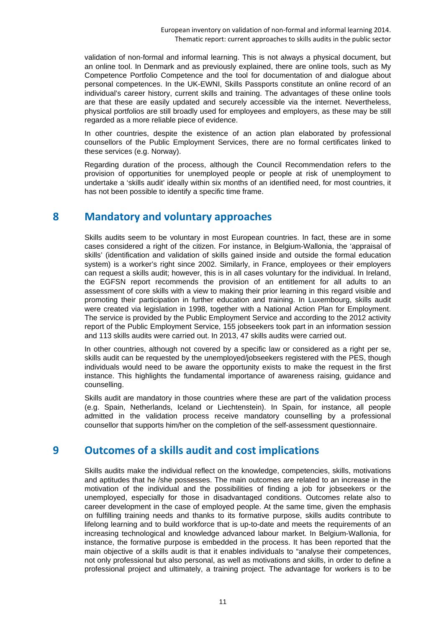validation of non-formal and informal learning. This is not always a physical document, but an online tool. In Denmark and as previously explained, there are online tools, such as My Competence Portfolio Competence and the tool for documentation of and dialogue about personal competences. In the UK-EWNI, Skills Passports constitute an online record of an individual's career history, current skills and training. The advantages of these online tools are that these are easily updated and securely accessible via the internet. Nevertheless, physical portfolios are still broadly used for employees and employers, as these may be still regarded as a more reliable piece of evidence.

In other countries, despite the existence of an action plan elaborated by professional counsellors of the Public Employment Services, there are no formal certificates linked to these services (e.g. Norway).

Regarding duration of the process, although the Council Recommendation refers to the provision of opportunities for unemployed people or people at risk of unemployment to undertake a 'skills audit' ideally within six months of an identified need, for most countries, it has not been possible to identify a specific time frame.

## <span id="page-13-0"></span>**8 Mandatory and voluntary approaches**

Skills audits seem to be voluntary in most European countries. In fact, these are in some cases considered a right of the citizen. For instance, in Belgium-Wallonia, the 'appraisal of skills' (identification and validation of skills gained inside and outside the formal education system) is a worker's right since 2002. Similarly, in France, employees or their employers can request a skills audit; however, this is in all cases voluntary for the individual. In Ireland, the EGFSN report recommends the provision of an entitlement for all adults to an assessment of core skills with a view to making their prior learning in this regard visible and promoting their participation in further education and training. In Luxembourg, skills audit were created via legislation in 1998, together with a National Action Plan for Employment. The service is provided by the Public Employment Service and according to the 2012 activity report of the Public Employment Service, 155 jobseekers took part in an information session and 113 skills audits were carried out. In 2013, 47 skills audits were carried out.

In other countries, although not covered by a specific law or considered as a right per se, skills audit can be requested by the unemployed/jobseekers registered with the PES, though individuals would need to be aware the opportunity exists to make the request in the first instance. This highlights the fundamental importance of awareness raising, guidance and counselling.

Skills audit are mandatory in those countries where these are part of the validation process (e.g. Spain, Netherlands, Iceland or Liechtenstein). In Spain, for instance, all people admitted in the validation process receive mandatory counselling by a professional counsellor that supports him/her on the completion of the self-assessment questionnaire.

# <span id="page-13-1"></span>**9 Outcomes of a skills audit and cost implications**

Skills audits make the individual reflect on the knowledge, competencies, skills, motivations and aptitudes that he /she possesses. The main outcomes are related to an increase in the motivation of the individual and the possibilities of finding a job for jobseekers or the unemployed, especially for those in disadvantaged conditions. Outcomes relate also to career development in the case of employed people. At the same time, given the emphasis on fulfilling training needs and thanks to its formative purpose, skills audits contribute to lifelong learning and to build workforce that is up-to-date and meets the requirements of an increasing technological and knowledge advanced labour market. In Belgium-Wallonia, for instance, the formative purpose is embedded in the process. It has been reported that the main objective of a skills audit is that it enables individuals to "analyse their competences, not only professional but also personal, as well as motivations and skills, in order to define a professional project and ultimately, a training project. The advantage for workers is to be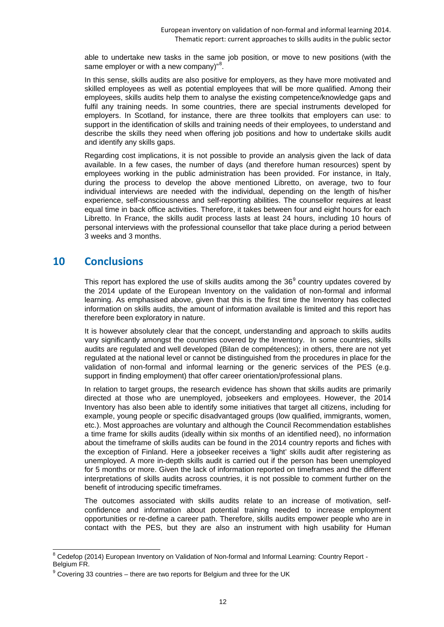able to undertake new tasks in the same job position, or move to new positions (with the same employer or with a new company)"<sup>[8](#page-14-1)</sup>.

In this sense, skills audits are also positive for employers, as they have more motivated and skilled employees as well as potential employees that will be more qualified. Among their employees, skills audits help them to analyse the existing competence/knowledge gaps and fulfil any training needs. In some countries, there are special instruments developed for employers. In Scotland, for instance, there are three toolkits that employers can use: to support in the identification of skills and training needs of their employees, to understand and describe the skills they need when offering job positions and how to undertake skills audit and identify any skills gaps.

Regarding cost implications, it is not possible to provide an analysis given the lack of data available. In a few cases, the number of days (and therefore human resources) spent by employees working in the public administration has been provided. For instance, in Italy, during the process to develop the above mentioned Libretto, on average, two to four individual interviews are needed with the individual, depending on the length of his/her experience, self-consciousness and self-reporting abilities. The counsellor requires at least equal time in back office activities. Therefore, it takes between four and eight hours for each Libretto. In France, the skills audit process lasts at least 24 hours, including 10 hours of personal interviews with the professional counsellor that take place during a period between 3 weeks and 3 months.

# <span id="page-14-0"></span>**10 Conclusions**

This report has explored the use of skills audits among the  $36<sup>9</sup>$  $36<sup>9</sup>$  $36<sup>9</sup>$  country updates covered by the 2014 update of the European Inventory on the validation of non-formal and informal learning. As emphasised above, given that this is the first time the Inventory has collected information on skills audits, the amount of information available is limited and this report has therefore been exploratory in nature.

It is however absolutely clear that the concept, understanding and approach to skills audits vary significantly amongst the countries covered by the Inventory. In some countries, skills audits are regulated and well developed (Bilan de compétences); in others, there are not yet regulated at the national level or cannot be distinguished from the procedures in place for the validation of non-formal and informal learning or the generic services of the PES (e.g. support in finding employment) that offer career orientation/professional plans.

In relation to target groups, the research evidence has shown that skills audits are primarily directed at those who are unemployed, jobseekers and employees. However, the 2014 Inventory has also been able to identify some initiatives that target all citizens, including for example, young people or specific disadvantaged groups (low qualified, immigrants, women, etc.). Most approaches are voluntary and although the Council Recommendation establishes a time frame for skills audits (ideally within six months of an identified need), no information about the timeframe of skills audits can be found in the 2014 country reports and fiches with the exception of Finland. Here a jobseeker receives a 'light' skills audit after registering as unemployed. A more in-depth skills audit is carried out if the person has been unemployed for 5 months or more. Given the lack of information reported on timeframes and the different interpretations of skills audits across countries, it is not possible to comment further on the benefit of introducing specific timeframes.

The outcomes associated with skills audits relate to an increase of motivation, selfconfidence and information about potential training needed to increase employment opportunities or re-define a career path. Therefore, skills audits empower people who are in contact with the PES, but they are also an instrument with high usability for Human

<span id="page-14-1"></span><sup>&</sup>lt;sup>8</sup> Cedefop (2014) European Inventory on Validation of Non-formal and Informal Learning: Country Report -Belgium FR.

<span id="page-14-2"></span> $9$  Covering 33 countries – there are two reports for Belgium and three for the UK